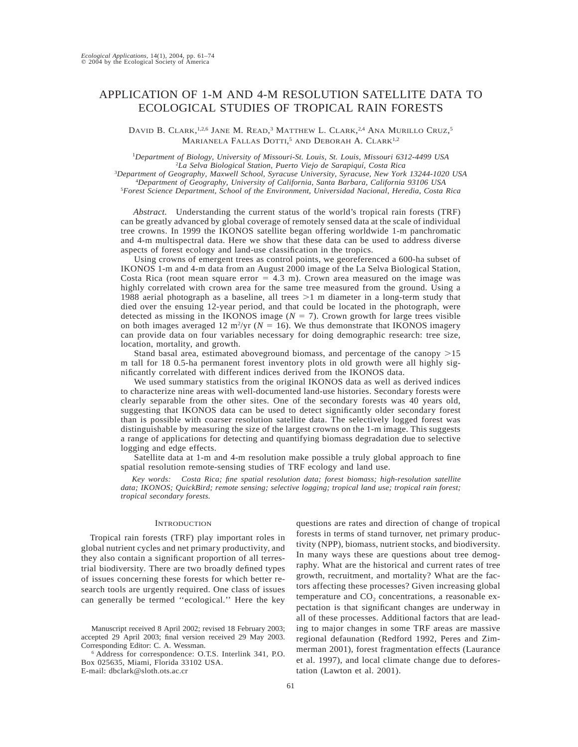# APPLICATION OF 1-M AND 4-M RESOLUTION SATELLITE DATA TO ECOLOGICAL STUDIES OF TROPICAL RAIN FORESTS

DAVID B. CLARK,<sup>1,2,6</sup> JANE M. READ,<sup>3</sup> MATTHEW L. CLARK,<sup>2,4</sup> ANA MURILLO CRUZ,<sup>5</sup> MARIANELA FALLAS DOTTI,<sup>5</sup> AND DEBORAH A. CLARK<sup>1,2</sup>

*Department of Biology, University of Missouri-St. Louis, St. Louis, Missouri 6312-4499 USA La Selva Biological Station, Puerto Viejo de Sarapiquı´, Costa Rica Department of Geography, Maxwell School, Syracuse University, Syracuse, New York 13244-1020 USA Department of Geography, University of California, Santa Barbara, California 93106 USA*

5 *Forest Science Department, School of the Environment, Universidad Nacional, Heredia, Costa Rica*

*Abstract.* Understanding the current status of the world's tropical rain forests (TRF) can be greatly advanced by global coverage of remotely sensed data at the scale of individual tree crowns. In 1999 the IKONOS satellite began offering worldwide 1-m panchromatic and 4-m multispectral data. Here we show that these data can be used to address diverse aspects of forest ecology and land-use classification in the tropics.

Using crowns of emergent trees as control points, we georeferenced a 600-ha subset of IKONOS 1-m and 4-m data from an August 2000 image of the La Selva Biological Station, Costa Rica (root mean square error  $= 4.3$  m). Crown area measured on the image was highly correlated with crown area for the same tree measured from the ground. Using a 1988 aerial photograph as a baseline, all trees  $>1$  m diameter in a long-term study that died over the ensuing 12-year period, and that could be located in the photograph, were detected as missing in the IKONOS image  $(N = 7)$ . Crown growth for large trees visible on both images averaged 12  $m^2/yr$  ( $N = 16$ ). We thus demonstrate that IKONOS imagery can provide data on four variables necessary for doing demographic research: tree size, location, mortality, and growth.

Stand basal area, estimated aboveground biomass, and percentage of the canopy  $>15$ m tall for 18 0.5-ha permanent forest inventory plots in old growth were all highly significantly correlated with different indices derived from the IKONOS data.

We used summary statistics from the original IKONOS data as well as derived indices to characterize nine areas with well-documented land-use histories. Secondary forests were clearly separable from the other sites. One of the secondary forests was 40 years old, suggesting that IKONOS data can be used to detect significantly older secondary forest than is possible with coarser resolution satellite data. The selectively logged forest was distinguishable by measuring the size of the largest crowns on the 1-m image. This suggests a range of applications for detecting and quantifying biomass degradation due to selective logging and edge effects.

Satellite data at 1-m and 4-m resolution make possible a truly global approach to fine spatial resolution remote-sensing studies of TRF ecology and land use.

*Key words: Costa Rica; fine spatial resolution data; forest biomass; high-resolution satellite data; IKONOS; QuickBird; remote sensing; selective logging; tropical land use; tropical rain forest; tropical secondary forests.*

### **INTRODUCTION**

Tropical rain forests (TRF) play important roles in global nutrient cycles and net primary productivity, and they also contain a significant proportion of all terrestrial biodiversity. There are two broadly defined types of issues concerning these forests for which better research tools are urgently required. One class of issues can generally be termed ''ecological.'' Here the key

questions are rates and direction of change of tropical forests in terms of stand turnover, net primary productivity (NPP), biomass, nutrient stocks, and biodiversity. In many ways these are questions about tree demography. What are the historical and current rates of tree growth, recruitment, and mortality? What are the factors affecting these processes? Given increasing global temperature and  $CO<sub>2</sub>$  concentrations, a reasonable expectation is that significant changes are underway in all of these processes. Additional factors that are leading to major changes in some TRF areas are massive regional defaunation (Redford 1992, Peres and Zimmerman 2001), forest fragmentation effects (Laurance et al. 1997), and local climate change due to deforestation (Lawton et al. 2001).

Manuscript received 8 April 2002; revised 18 February 2003; accepted 29 April 2003; final version received 29 May 2003. Corresponding Editor: C. A. Wessman.

<sup>6</sup> Address for correspondence: O.T.S. Interlink 341, P.O. Box 025635, Miami, Florida 33102 USA. E-mail: dbclark@sloth.ots.ac.cr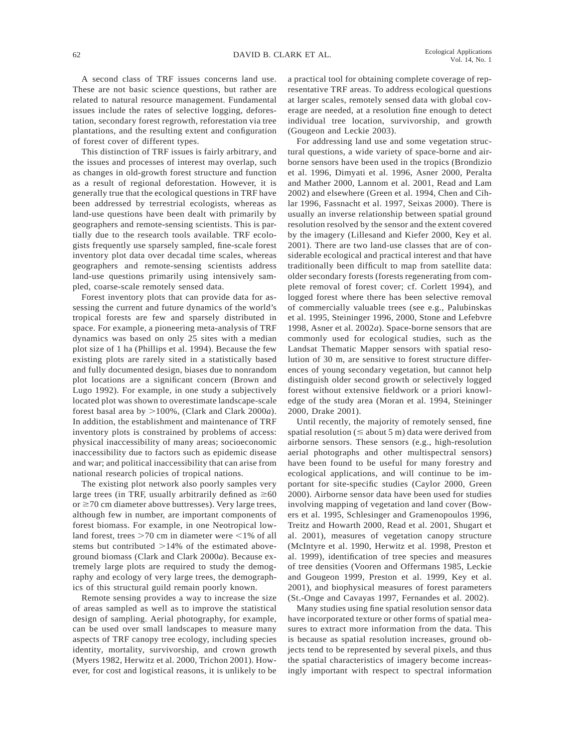A second class of TRF issues concerns land use. These are not basic science questions, but rather are related to natural resource management. Fundamental issues include the rates of selective logging, deforestation, secondary forest regrowth, reforestation via tree plantations, and the resulting extent and configuration of forest cover of different types.

This distinction of TRF issues is fairly arbitrary, and the issues and processes of interest may overlap, such as changes in old-growth forest structure and function as a result of regional deforestation. However, it is generally true that the ecological questions in TRF have been addressed by terrestrial ecologists, whereas as land-use questions have been dealt with primarily by geographers and remote-sensing scientists. This is partially due to the research tools available. TRF ecologists frequently use sparsely sampled, fine-scale forest inventory plot data over decadal time scales, whereas geographers and remote-sensing scientists address land-use questions primarily using intensively sampled, coarse-scale remotely sensed data.

Forest inventory plots that can provide data for assessing the current and future dynamics of the world's tropical forests are few and sparsely distributed in space. For example, a pioneering meta-analysis of TRF dynamics was based on only 25 sites with a median plot size of 1 ha (Phillips et al. 1994). Because the few existing plots are rarely sited in a statistically based and fully documented design, biases due to nonrandom plot locations are a significant concern (Brown and Lugo 1992). For example, in one study a subjectively located plot was shown to overestimate landscape-scale forest basal area by  $>100\%$ , (Clark and Clark 2000*a*). In addition, the establishment and maintenance of TRF inventory plots is constrained by problems of access: physical inaccessibility of many areas; socioeconomic inaccessibility due to factors such as epidemic disease and war; and political inaccessibility that can arise from national research policies of tropical nations.

The existing plot network also poorly samples very large trees (in TRF, usually arbitrarily defined as  $\geq 60$ or  $\geq$ 70 cm diameter above buttresses). Very large trees, although few in number, are important components of forest biomass. For example, in one Neotropical lowland forest, trees  $>70$  cm in diameter were  $<1%$  of all stems but contributed  $>14\%$  of the estimated aboveground biomass (Clark and Clark 2000*a*). Because extremely large plots are required to study the demography and ecology of very large trees, the demographics of this structural guild remain poorly known.

Remote sensing provides a way to increase the size of areas sampled as well as to improve the statistical design of sampling. Aerial photography, for example, can be used over small landscapes to measure many aspects of TRF canopy tree ecology, including species identity, mortality, survivorship, and crown growth (Myers 1982, Herwitz et al. 2000, Trichon 2001). However, for cost and logistical reasons, it is unlikely to be a practical tool for obtaining complete coverage of representative TRF areas. To address ecological questions at larger scales, remotely sensed data with global coverage are needed, at a resolution fine enough to detect individual tree location, survivorship, and growth (Gougeon and Leckie 2003).

For addressing land use and some vegetation structural questions, a wide variety of space-borne and airborne sensors have been used in the tropics (Brondizio et al. 1996, Dimyati et al. 1996, Asner 2000, Peralta and Mather 2000, Lannom et al. 2001, Read and Lam 2002) and elsewhere (Green et al. 1994, Chen and Cihlar 1996, Fassnacht et al. 1997, Seixas 2000). There is usually an inverse relationship between spatial ground resolution resolved by the sensor and the extent covered by the imagery (Lillesand and Kiefer 2000, Key et al. 2001). There are two land-use classes that are of considerable ecological and practical interest and that have traditionally been difficult to map from satellite data: older secondary forests (forests regenerating from complete removal of forest cover; cf. Corlett 1994), and logged forest where there has been selective removal of commercially valuable trees (see e.g., Palubinskas et al. 1995, Steininger 1996, 2000, Stone and Lefebvre 1998, Asner et al. 2002*a*). Space-borne sensors that are commonly used for ecological studies, such as the Landsat Thematic Mapper sensors with spatial resolution of 30 m, are sensitive to forest structure differences of young secondary vegetation, but cannot help distinguish older second growth or selectively logged forest without extensive fieldwork or a priori knowledge of the study area (Moran et al. 1994, Steininger 2000, Drake 2001).

Until recently, the majority of remotely sensed, fine spatial resolution ( $\leq$  about 5 m) data were derived from airborne sensors. These sensors (e.g., high-resolution aerial photographs and other multispectral sensors) have been found to be useful for many forestry and ecological applications, and will continue to be important for site-specific studies (Caylor 2000, Green 2000). Airborne sensor data have been used for studies involving mapping of vegetation and land cover (Bowers et al. 1995, Schlesinger and Gramenopoulos 1996, Treitz and Howarth 2000, Read et al. 2001, Shugart et al. 2001), measures of vegetation canopy structure (McIntyre et al. 1990, Herwitz et al. 1998, Preston et al. 1999), identification of tree species and measures of tree densities (Vooren and Offermans 1985, Leckie and Gougeon 1999, Preston et al. 1999, Key et al. 2001), and biophysical measures of forest parameters (St.-Onge and Cavayas 1997, Fernandes et al. 2002).

Many studies using fine spatial resolution sensor data have incorporated texture or other forms of spatial measures to extract more information from the data. This is because as spatial resolution increases, ground objects tend to be represented by several pixels, and thus the spatial characteristics of imagery become increasingly important with respect to spectral information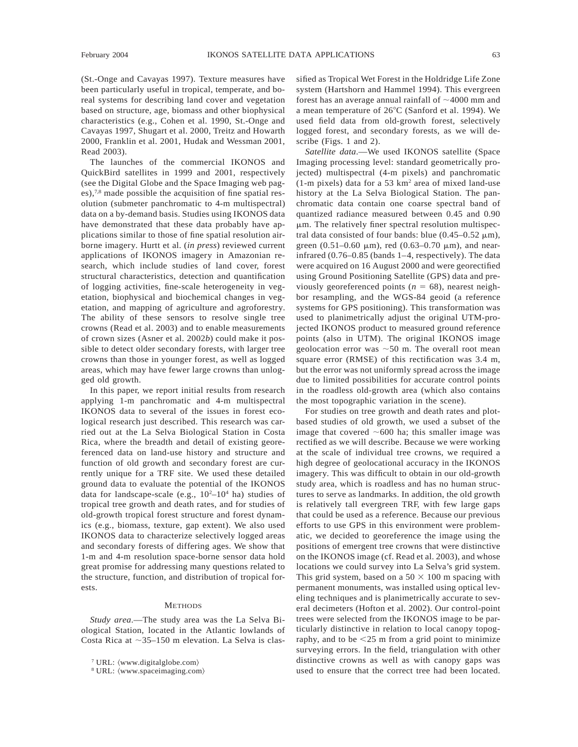(St.-Onge and Cavayas 1997). Texture measures have been particularly useful in tropical, temperate, and boreal systems for describing land cover and vegetation based on structure, age, biomass and other biophysical characteristics (e.g., Cohen et al. 1990, St.-Onge and Cavayas 1997, Shugart et al. 2000, Treitz and Howarth 2000, Franklin et al. 2001, Hudak and Wessman 2001, Read 2003).

The launches of the commercial IKONOS and QuickBird satellites in 1999 and 2001, respectively (see the Digital Globe and the Space Imaging web pages), $7,8$  made possible the acquisition of fine spatial resolution (submeter panchromatic to 4-m multispectral) data on a by-demand basis. Studies using IKONOS data have demonstrated that these data probably have applications similar to those of fine spatial resolution airborne imagery. Hurtt et al. (*in press*) reviewed current applications of IKONOS imagery in Amazonian research, which include studies of land cover, forest structural characteristics, detection and quantification of logging activities, fine-scale heterogeneity in vegetation, biophysical and biochemical changes in vegetation, and mapping of agriculture and agroforestry. The ability of these sensors to resolve single tree crowns (Read et al. 2003) and to enable measurements of crown sizes (Asner et al. 2002*b*) could make it possible to detect older secondary forests, with larger tree crowns than those in younger forest, as well as logged areas, which may have fewer large crowns than unlogged old growth.

In this paper, we report initial results from research applying 1-m panchromatic and 4-m multispectral IKONOS data to several of the issues in forest ecological research just described. This research was carried out at the La Selva Biological Station in Costa Rica, where the breadth and detail of existing georeferenced data on land-use history and structure and function of old growth and secondary forest are currently unique for a TRF site. We used these detailed ground data to evaluate the potential of the IKONOS data for landscape-scale (e.g.,  $10^{2}-10^{4}$  ha) studies of tropical tree growth and death rates, and for studies of old-growth tropical forest structure and forest dynamics (e.g., biomass, texture, gap extent). We also used IKONOS data to characterize selectively logged areas and secondary forests of differing ages. We show that 1-m and 4-m resolution space-borne sensor data hold great promise for addressing many questions related to the structure, function, and distribution of tropical forests.

#### **METHODS**

*Study area*.—The study area was the La Selva Biological Station, located in the Atlantic lowlands of Costa Rica at  $\sim$ 35–150 m elevation. La Selva is classified as Tropical Wet Forest in the Holdridge Life Zone system (Hartshorn and Hammel 1994). This evergreen forest has an average annual rainfall of  $\sim$ 4000 mm and a mean temperature of  $26^{\circ}$ C (Sanford et al. 1994). We used field data from old-growth forest, selectively logged forest, and secondary forests, as we will describe (Figs. 1 and 2).

*Satellite data*.—We used IKONOS satellite (Space Imaging processing level: standard geometrically projected) multispectral (4-m pixels) and panchromatic (1-m pixels) data for a 53 km2 area of mixed land-use history at the La Selva Biological Station. The panchromatic data contain one coarse spectral band of quantized radiance measured between 0.45 and 0.90  $\mu$ m. The relatively finer spectral resolution multispectral data consisted of four bands: blue  $(0.45-0.52 \mu m)$ , green (0.51–0.60  $\mu$ m), red (0.63–0.70  $\mu$ m), and nearinfrared (0.76–0.85 (bands 1–4, respectively). The data were acquired on 16 August 2000 and were georectified using Ground Positioning Satellite (GPS) data and previously georeferenced points  $(n = 68)$ , nearest neighbor resampling, and the WGS-84 geoid (a reference systems for GPS positioning). This transformation was used to planimetrically adjust the original UTM-projected IKONOS product to measured ground reference points (also in UTM). The original IKONOS image geolocation error was  $\sim$  50 m. The overall root mean square error (RMSE) of this rectification was 3.4 m, but the error was not uniformly spread across the image due to limited possibilities for accurate control points in the roadless old-growth area (which also contains the most topographic variation in the scene).

For studies on tree growth and death rates and plotbased studies of old growth, we used a subset of the image that covered  $~600$  ha; this smaller image was rectified as we will describe. Because we were working at the scale of individual tree crowns, we required a high degree of geolocational accuracy in the IKONOS imagery. This was difficult to obtain in our old-growth study area, which is roadless and has no human structures to serve as landmarks. In addition, the old growth is relatively tall evergreen TRF, with few large gaps that could be used as a reference. Because our previous efforts to use GPS in this environment were problematic, we decided to georeference the image using the positions of emergent tree crowns that were distinctive on the IKONOS image (cf. Read et al. 2003), and whose locations we could survey into La Selva's grid system. This grid system, based on a  $50 \times 100$  m spacing with permanent monuments, was installed using optical leveling techniques and is planimetrically accurate to several decimeters (Hofton et al. 2002). Our control-point trees were selected from the IKONOS image to be particularly distinctive in relation to local canopy topography, and to be  $\leq 25$  m from a grid point to minimize surveying errors. In the field, triangulation with other distinctive crowns as well as with canopy gaps was used to ensure that the correct tree had been located.

 $7$  URL:  $\langle www.digitalglobe.com \rangle$ 

 $8$  URL:  $\langle www.spaceimaging.com\rangle$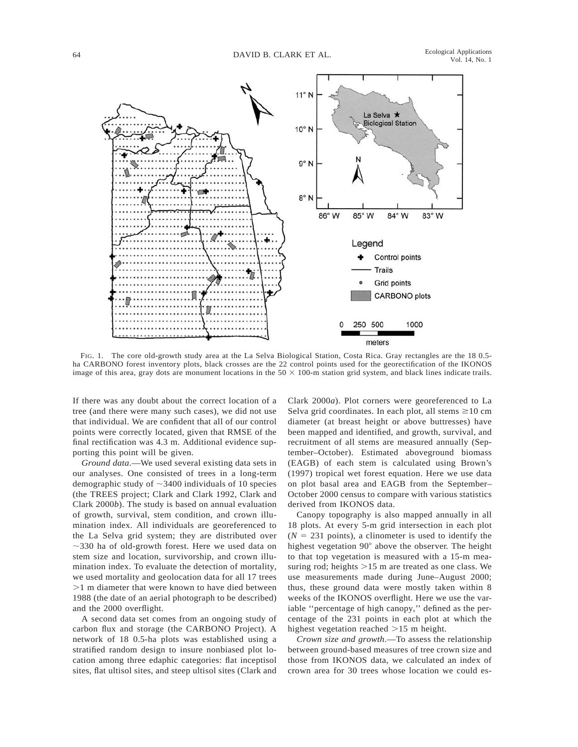

FIG. 1. The core old-growth study area at the La Selva Biological Station, Costa Rica. Gray rectangles are the 18 0.5 ha CARBONO forest inventory plots, black crosses are the 22 control points used for the georectification of the IKONOS image of this area, gray dots are monument locations in the  $50 \times 100$ -m station grid system, and black lines indicate trails.

If there was any doubt about the correct location of a tree (and there were many such cases), we did not use that individual. We are confident that all of our control points were correctly located, given that RMSE of the final rectification was 4.3 m. Additional evidence supporting this point will be given.

*Ground data*.—We used several existing data sets in our analyses. One consisted of trees in a long-term demographic study of  $\sim$ 3400 individuals of 10 species (the TREES project; Clark and Clark 1992, Clark and Clark 2000*b*). The study is based on annual evaluation of growth, survival, stem condition, and crown illumination index. All individuals are georeferenced to the La Selva grid system; they are distributed over  $\sim$ 330 ha of old-growth forest. Here we used data on stem size and location, survivorship, and crown illumination index. To evaluate the detection of mortality, we used mortality and geolocation data for all 17 trees .1 m diameter that were known to have died between 1988 (the date of an aerial photograph to be described) and the 2000 overflight.

A second data set comes from an ongoing study of carbon flux and storage (the CARBONO Project). A network of 18 0.5-ha plots was established using a stratified random design to insure nonbiased plot location among three edaphic categories: flat inceptisol sites, flat ultisol sites, and steep ultisol sites (Clark and Clark 2000*a*). Plot corners were georeferenced to La Selva grid coordinates. In each plot, all stems  $\geq 10$  cm diameter (at breast height or above buttresses) have been mapped and identified, and growth, survival, and recruitment of all stems are measured annually (September–October). Estimated aboveground biomass (EAGB) of each stem is calculated using Brown's (1997) tropical wet forest equation. Here we use data on plot basal area and EAGB from the September– October 2000 census to compare with various statistics derived from IKONOS data.

Canopy topography is also mapped annually in all 18 plots. At every 5-m grid intersection in each plot  $(N = 231$  points), a clinometer is used to identify the highest vegetation 90° above the observer. The height to that top vegetation is measured with a 15-m measuring rod; heights  $>15$  m are treated as one class. We use measurements made during June–August 2000; thus, these ground data were mostly taken within 8 weeks of the IKONOS overflight. Here we use the variable "percentage of high canopy," defined as the percentage of the 231 points in each plot at which the highest vegetation reached  $>15$  m height.

*Crown size and growth*.—To assess the relationship between ground-based measures of tree crown size and those from IKONOS data, we calculated an index of crown area for 30 trees whose location we could es-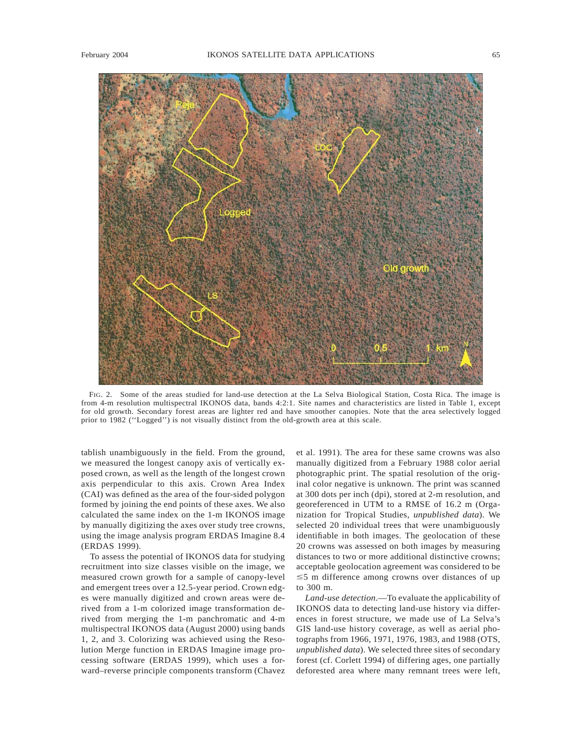

FIG. 2. Some of the areas studied for land-use detection at the La Selva Biological Station, Costa Rica. The image is from 4-m resolution multispectral IKONOS data, bands 4:2:1. Site names and characteristics are listed in Table 1, except for old growth. Secondary forest areas are lighter red and have smoother canopies. Note that the area selectively logged prior to 1982 (''Logged'') is not visually distinct from the old-growth area at this scale.

tablish unambiguously in the field. From the ground, we measured the longest canopy axis of vertically exposed crown, as well as the length of the longest crown axis perpendicular to this axis. Crown Area Index (CAI) was defined as the area of the four-sided polygon formed by joining the end points of these axes. We also calculated the same index on the 1-m IKONOS image by manually digitizing the axes over study tree crowns, using the image analysis program ERDAS Imagine 8.4 (ERDAS 1999).

To assess the potential of IKONOS data for studying recruitment into size classes visible on the image, we measured crown growth for a sample of canopy-level and emergent trees over a 12.5-year period. Crown edges were manually digitized and crown areas were derived from a 1-m colorized image transformation derived from merging the 1-m panchromatic and 4-m multispectral IKONOS data (August 2000) using bands 1, 2, and 3. Colorizing was achieved using the Resolution Merge function in ERDAS Imagine image processing software (ERDAS 1999), which uses a forward–reverse principle components transform (Chavez et al. 1991). The area for these same crowns was also manually digitized from a February 1988 color aerial photographic print. The spatial resolution of the original color negative is unknown. The print was scanned at 300 dots per inch (dpi), stored at 2-m resolution, and georeferenced in UTM to a RMSE of 16.2 m (Organization for Tropical Studies, *unpublished data*). We selected 20 individual trees that were unambiguously identifiable in both images. The geolocation of these 20 crowns was assessed on both images by measuring distances to two or more additional distinctive crowns; acceptable geolocation agreement was considered to be  $\leq$  5 m difference among crowns over distances of up to 300 m.

*Land-use detection*.—To evaluate the applicability of IKONOS data to detecting land-use history via differences in forest structure, we made use of La Selva's GIS land-use history coverage, as well as aerial photographs from 1966, 1971, 1976, 1983, and 1988 (OTS, *unpublished data*). We selected three sites of secondary forest (cf. Corlett 1994) of differing ages, one partially deforested area where many remnant trees were left,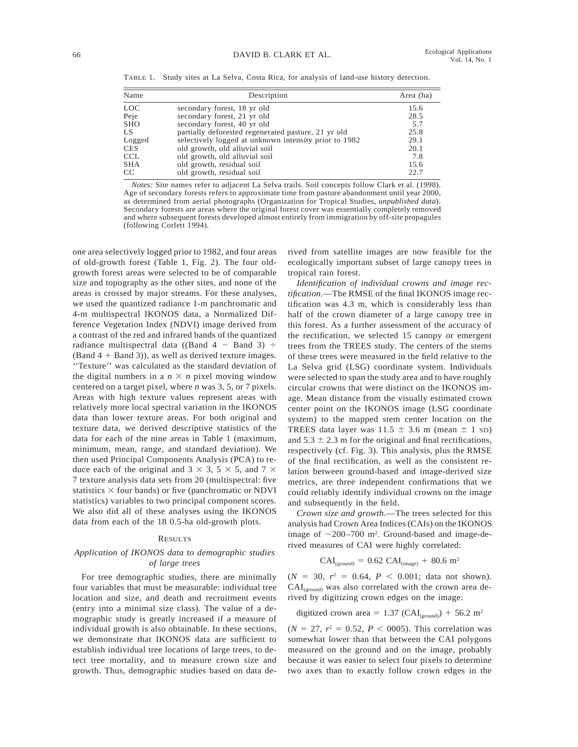TABLE 1. Study sites at La Selva, Costa Rica, for analysis of land-use history detection.

| Name   | Description                                           | Area (ha) |
|--------|-------------------------------------------------------|-----------|
| LOC    | secondary forest, 18 yr old                           | 15.6      |
| Peje   | secondary forest, 21 yr old                           | 28.5      |
| SHO    | secondary forest, 40 yr old                           | 5.7       |
| LS     | partially deforested regenerated pasture, 21 yr old   | 25.8      |
| Logged | selectively logged at unknown intensity prior to 1982 | 29.1      |
| CES    | old growth, old alluvial soil                         | 20.1      |
| CCL    | old growth, old alluvial soil                         | 7.8       |
| SHA    | old growth, residual soil                             | 15.6      |
| CC.    | old growth, residual soil                             | 22.7      |
|        |                                                       |           |

*Notes:* Site names refer to adjacent La Selva trails. Soil concepts follow Clark et al. (1998). Age of secondary forests refers to approximate time from pasture abandonment until year 2000, as determined from aerial photographs (Organization for Tropical Studies, *unpublished data*). Secondary forests are areas where the original forest cover was essentially completely removed and where subsequent forests developed almost entirely from immigration by off-site propagules (following Corlett 1994).

one area selectively logged prior to 1982, and four areas of old-growth forest (Table 1, Fig. 2). The four oldgrowth forest areas were selected to be of comparable size and topography as the other sites, and none of the areas is crossed by major streams. For these analyses, we used the quantized radiance 1-m panchromatic and 4-m multispectral IKONOS data, a Normalized Difference Vegetation Index (NDVI) image derived from a contrast of the red and infrared bands of the quantized radiance multispectral data ((Band  $4 -$  Band 3)  $\div$  $(Band 4 + Band 3)$ , as well as derived texture images. ''Texture'' was calculated as the standard deviation of the digital numbers in a  $n \times n$  pixel moving window centered on a target pixel, where *n* was 3, 5, or 7 pixels. Areas with high texture values represent areas with relatively more local spectral variation in the IKONOS data than lower texture areas. For both original and texture data, we derived descriptive statistics of the data for each of the nine areas in Table 1 (maximum, minimum, mean, range, and standard deviation). We then used Principal Components Analysis (PCA) to reduce each of the original and  $3 \times 3$ ,  $5 \times 5$ , and  $7 \times$ 7 texture analysis data sets from 20 (multispectral: five statistics  $\times$  four bands) or five (panchromatic or NDVI statistics) variables to two principal component scores. We also did all of these analyses using the IKONOS data from each of the 18 0.5-ha old-growth plots.

#### **RESULTS**

## *Application of IKONOS data to demographic studies of large trees*

For tree demographic studies, there are minimally four variables that must be measurable: individual tree location and size, and death and recruitment events (entry into a minimal size class). The value of a demographic study is greatly increased if a measure of individual growth is also obtainable. In these sections, we demonstrate that IKONOS data are sufficient to establish individual tree locations of large trees, to detect tree mortality, and to measure crown size and growth. Thus, demographic studies based on data derived from satellite images are now feasible for the ecologically important subset of large canopy trees in tropical rain forest.

*Identification of individual crowns and image rectification*.—The RMSE of the final IKONOS image rectification was 4.3 m, which is considerably less than half of the crown diameter of a large canopy tree in this forest. As a further assessment of the accuracy of the rectification, we selected 15 canopy or emergent trees from the TREES study. The centers of the stems of these trees were measured in the field relative to the La Selva grid (LSG) coordinate system. Individuals were selected to span the study area and to have roughly circular crowns that were distinct on the IKONOS image. Mean distance from the visually estimated crown center point on the IKONOS image (LSG coordinate system) to the mapped stem center location on the TREES data layer was  $11.5 \pm 3.6$  m (mean  $\pm 1$  SD) and  $5.3 \pm 2.3$  m for the original and final rectifications, respectively (cf. Fig. 3). This analysis, plus the RMSE of the final rectification, as well as the consistent relation between ground-based and image-derived size metrics, are three independent confirmations that we could reliably identify individual crowns on the image and subsequently in the field.

*Crown size and growth*.—The trees selected for this analysis had Crown Area Indices (CAIs) on the IKONOS image of  $\sim$ 200–700 m<sup>2</sup>. Ground-based and image-derived measures of CAI were highly correlated:

$$
CAI_{(ground)} = 0.62 \text{ CAI}_{(image)} + 80.6 \text{ m}^2
$$

 $(N = 30, r^2 = 0.64, P < 0.001$ ; data not shown).  $CAI_{(ground)}$  was also correlated with the crown area derived by digitizing crown edges on the image:

digitaled crown area = 
$$
1.37 \text{ (CAI}_{(ground)}) + 56.2 \text{ m}^2
$$

 $(N = 27, r^2 = 0.52, P < 0.005)$ . This correlation was somewhat lower than that between the CAI polygons measured on the ground and on the image, probably because it was easier to select four pixels to determine two axes than to exactly follow crown edges in the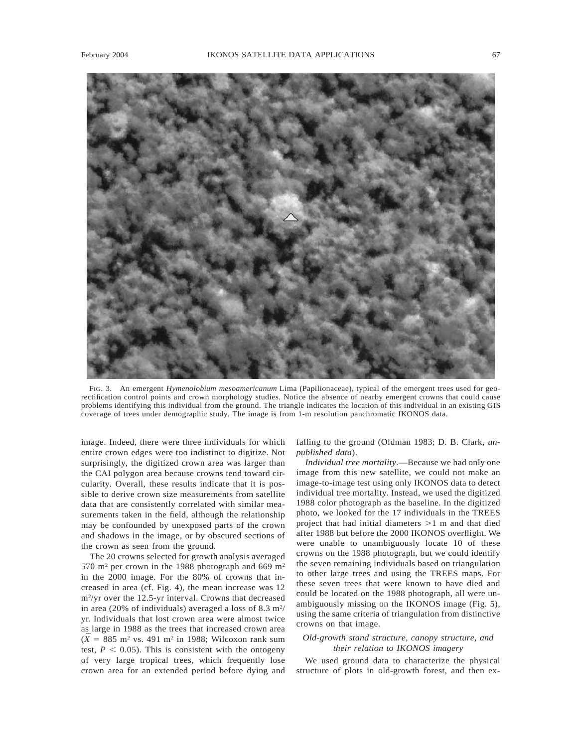

FIG. 3. An emergent *Hymenolobium mesoamericanum* Lima (Papilionaceae), typical of the emergent trees used for georectification control points and crown morphology studies. Notice the absence of nearby emergent crowns that could cause problems identifying this individual from the ground. The triangle indicates the location of this individual in an existing GIS coverage of trees under demographic study. The image is from 1-m resolution panchromatic IKONOS data.

image. Indeed, there were three individuals for which entire crown edges were too indistinct to digitize. Not surprisingly, the digitized crown area was larger than the CAI polygon area because crowns tend toward circularity. Overall, these results indicate that it is possible to derive crown size measurements from satellite data that are consistently correlated with similar measurements taken in the field, although the relationship may be confounded by unexposed parts of the crown and shadows in the image, or by obscured sections of the crown as seen from the ground.

The 20 crowns selected for growth analysis averaged 570 m<sup>2</sup> per crown in the 1988 photograph and 669 m<sup>2</sup> in the 2000 image. For the 80% of crowns that increased in area (cf. Fig. 4), the mean increase was 12 m<sup>2</sup>/yr over the 12.5-yr interval. Crowns that decreased in area (20% of individuals) averaged a loss of  $8.3 \text{ m}^2$ / yr. Individuals that lost crown area were almost twice as large in 1988 as the trees that increased crown area  $(\bar{X} = 885 \text{ m}^2 \text{ vs. } 491 \text{ m}^2 \text{ in } 1988; \text{ Wilcoxon rank sum})$ test,  $P < 0.05$ ). This is consistent with the ontogeny of very large tropical trees, which frequently lose crown area for an extended period before dying and

falling to the ground (Oldman 1983; D. B. Clark, *unpublished data*).

*Individual tree mortality*.—Because we had only one image from this new satellite, we could not make an image-to-image test using only IKONOS data to detect individual tree mortality. Instead, we used the digitized 1988 color photograph as the baseline. In the digitized photo, we looked for the 17 individuals in the TREES project that had initial diameters  $>1$  m and that died after 1988 but before the 2000 IKONOS overflight. We were unable to unambiguously locate 10 of these crowns on the 1988 photograph, but we could identify the seven remaining individuals based on triangulation to other large trees and using the TREES maps. For these seven trees that were known to have died and could be located on the 1988 photograph, all were unambiguously missing on the IKONOS image (Fig. 5), using the same criteria of triangulation from distinctive crowns on that image.

## *Old-growth stand structure, canopy structure, and their relation to IKONOS imagery*

We used ground data to characterize the physical structure of plots in old-growth forest, and then ex-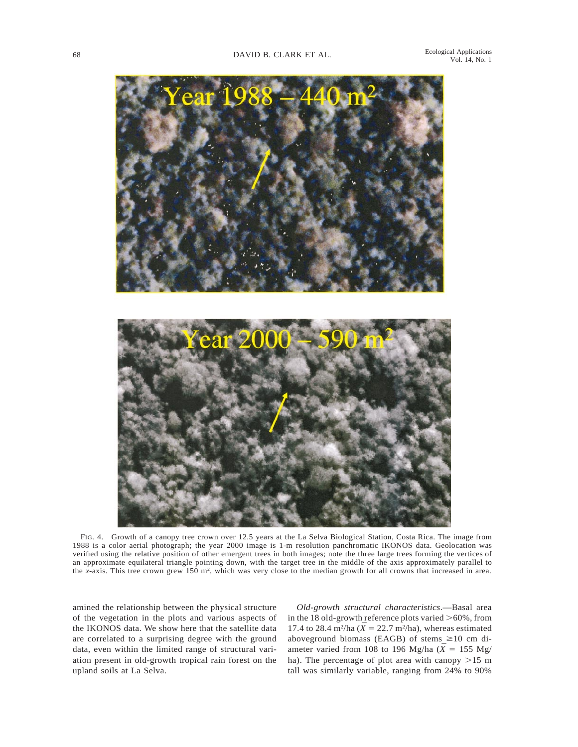

FIG. 4. Growth of a canopy tree crown over 12.5 years at the La Selva Biological Station, Costa Rica. The image from 1988 is a color aerial photograph; the year 2000 image is 1-m resolution panchromatic IKONOS data. Geolocation was verified using the relative position of other emergent trees in both images; note the three large trees forming the vertices of an approximate equilateral triangle pointing down, with the target tree in the middle of the axis approximately parallel to the *x*-axis. This tree crown grew 150 m2, which was very close to the median growth for all crowns that increased in area.

amined the relationship between the physical structure of the vegetation in the plots and various aspects of the IKONOS data. We show here that the satellite data are correlated to a surprising degree with the ground data, even within the limited range of structural variation present in old-growth tropical rain forest on the upland soils at La Selva.

*Old-growth structural characteristics*.—Basal area in the 18 old-growth reference plots varied  $>60\%$ , from 17.4 to 28.4 m<sup>2</sup>/ha ( $\overline{X}$  = 22.7 m<sup>2</sup>/ha), whereas estimated aboveground biomass (EAGB) of stems  $\geq 10$  cm diameter varied from 108 to 196 Mg/ha ( $\bar{X}$  = 155 Mg/ ha). The percentage of plot area with canopy  $>15$  m tall was similarly variable, ranging from 24% to 90%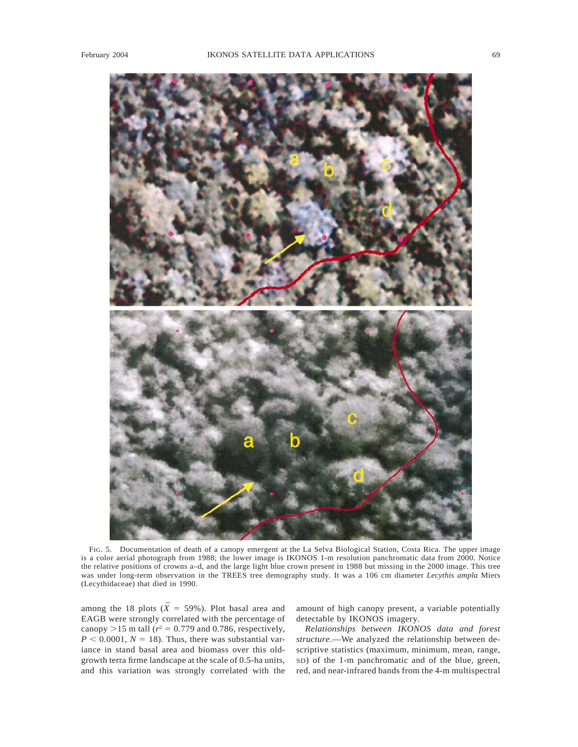

FIG. 5. Documentation of death of a canopy emergent at the La Selva Biological Station, Costa Rica. The upper image is a color aerial photograph from 1988; the lower image is IKONOS 1-m resolution panchromatic data from 2000. Notice the relative positions of crowns a–d, and the large light blue crown present in 1988 but missing in the 2000 image. This tree was under long-term observation in the TREES tree demography study. It was a 106 cm diameter *Lecythis ampla* Miers (Lecythidaceae) that died in 1990.

among the 18 plots ( $\bar{X} = 59\%$ ). Plot basal area and EAGB were strongly correlated with the percentage of canopy  $>15$  m tall ( $r^2 = 0.779$  and 0.786, respectively,  $P < 0.0001$ ,  $N = 18$ ). Thus, there was substantial variance in stand basal area and biomass over this oldgrowth terra firme landscape at the scale of 0.5-ha units, and this variation was strongly correlated with the amount of high canopy present, a variable potentially detectable by IKONOS imagery.

*Relationships between IKONOS data and forest structure*.—We analyzed the relationship between descriptive statistics (maximum, minimum, mean, range, SD) of the 1-m panchromatic and of the blue, green, red, and near-infrared bands from the 4-m multispectral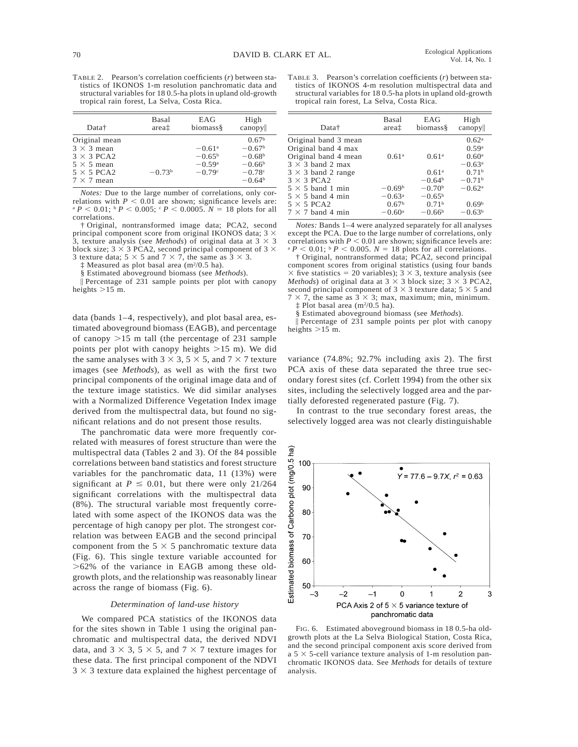| Data†                                                                                                                  | Basal    | EAG                                                              | High                                                                                        |
|------------------------------------------------------------------------------------------------------------------------|----------|------------------------------------------------------------------|---------------------------------------------------------------------------------------------|
|                                                                                                                        | areat    | biomass§                                                         | canopy                                                                                      |
| Original mean<br>$3 \times 3$ mean<br>$3 \times 3$ PCA2<br>$5 \times 5$ mean<br>$5 \times 5$ PCA2<br>$7 \times 7$ mean | $-0.73b$ | $-0.61$ <sup>a</sup><br>$-0.65^{\rm b}$<br>$-0.59a$<br>$-0.79$ ° | 0.67 <sup>b</sup><br>$-0.67^{\rm b}$<br>$-0.68b$<br>$-0.66b$<br>$-0.78^{\circ}$<br>$-0.64b$ |

*Notes:* Due to the large number of correlations, only correlations with  $P < 0.01$  are shown; significance levels are:  $P^a P \le 0.01$ ;  $P^b P \le 0.005$ ;  $P^c P \le 0.0005$ .  $N = 18$  plots for all correlations.

† Original, nontransformed image data; PCA2, second principal component score from original IKONOS data;  $3 \times$ 3, texture analysis (see *Methods*) of original data at  $3 \times 3$ block size; 3  $\times$  3 PCA2, second principal component of 3  $\times$ 3 texture data;  $5 \times 5$  and  $7 \times 7$ , the same as  $3 \times 3$ .

Measured as plot basal area ( $m^2/0.5$  ha).

§ Estimated aboveground biomass (see *Methods*).

 $\parallel$  Percentage of 231 sample points per plot with canopy heights  $>15$  m.

data (bands 1–4, respectively), and plot basal area, estimated aboveground biomass (EAGB), and percentage of canopy  $>15$  m tall (the percentage of 231 sample points per plot with canopy heights  $>15$  m). We did the same analyses with  $3 \times 3$ ,  $5 \times 5$ , and  $7 \times 7$  texture images (see *Methods*), as well as with the first two principal components of the original image data and of the texture image statistics. We did similar analyses with a Normalized Difference Vegetation Index image derived from the multispectral data, but found no significant relations and do not present those results.

The panchromatic data were more frequently correlated with measures of forest structure than were the multispectral data (Tables 2 and 3). Of the 84 possible correlations between band statistics and forest structure variables for the panchromatic data, 11 (13%) were significant at  $P \le 0.01$ , but there were only 21/264 significant correlations with the multispectral data (8%). The structural variable most frequently correlated with some aspect of the IKONOS data was the percentage of high canopy per plot. The strongest correlation was between EAGB and the second principal component from the  $5 \times 5$  panchromatic texture data (Fig. 6). This single texture variable accounted for  $>62\%$  of the variance in EAGB among these oldgrowth plots, and the relationship was reasonably linear across the range of biomass (Fig. 6).

#### *Determination of land-use history*

We compared PCA statistics of the IKONOS data for the sites shown in Table 1 using the original panchromatic and multispectral data, the derived NDVI data, and  $3 \times 3$ ,  $5 \times 5$ , and  $7 \times 7$  texture images for these data. The first principal component of the NDVI  $3 \times 3$  texture data explained the highest percentage of

TABLE 3. Pearson's correlation coefficients (*r*) between statistics of IKONOS 4-m resolution multispectral data and structural variables for 18 0.5-ha plots in upland old-growth tropical rain forest, La Selva, Costa Rica.

| Data†                                                                                                                                            | Basal<br>areat                                               | EAG<br>biomass§                                              | High<br>canopy                                                                                                  |
|--------------------------------------------------------------------------------------------------------------------------------------------------|--------------------------------------------------------------|--------------------------------------------------------------|-----------------------------------------------------------------------------------------------------------------|
| Original band 3 mean<br>Original band 4 max<br>Original band 4 mean<br>$3 \times 3$ band 2 max<br>$3 \times 3$ band 2 range<br>$3 \times 3$ PCA2 | 0.61 <sup>a</sup>                                            | 0.61 <sup>a</sup><br>0.61 <sup>a</sup><br>$-0.64b$           | 0.62 <sup>a</sup><br>0.59 <sup>a</sup><br>0.60 <sup>a</sup><br>$-0.63^{\rm a}$<br>0.71 <sup>b</sup><br>$-0.71b$ |
| $5 \times 5$ band 1 min<br>$5 \times 5$ band 4 min<br>$5 \times 5$ PCA2<br>$7 \times 7$ band 4 min                                               | $-0.69b$<br>$-0.63^{\rm a}$<br>0.67 <sup>b</sup><br>$-0.60a$ | $-0.70b$<br>$-0.65^{\rm b}$<br>0.71 <sup>b</sup><br>$-0.66b$ | $-0.62$ <sup>a</sup><br>0.69 <sup>b</sup><br>$-0.63b$                                                           |

*Notes:* Bands 1–4 were analyzed separately for all analyses except the PCA. Due to the large number of correlations, only correlations with  $P < 0.01$  are shown; significance levels are:  $\mathbb{P}^P$  = 0.01;  $\mathbb{P}^P$  < 0.005.  $N = 18$  plots for all correlations.

† Original, nontransformed data; PCA2, second principal component scores from original statistics (using four bands  $\times$  five statistics = 20 variables); 3  $\times$  3, texture analysis (see *Methods*) of original data at  $3 \times 3$  block size;  $3 \times 3$  PCA2, second principal component of  $3 \times 3$  texture data;  $5 \times 5$  and  $7 \times 7$  the same as  $3 \times 3$ ; max, maximum; min, minimum  $\times$  7, the same as 3  $\times$  3; max, maximum; min, minimum. ‡ Plot basal area (m2/0.5 ha).

§ Estimated aboveground biomass (see *Methods*).

\ Percentage of 231 sample points per plot with canopy heights  $>15$  m.

variance (74.8%; 92.7% including axis 2). The first PCA axis of these data separated the three true secondary forest sites (cf. Corlett 1994) from the other six sites, including the selectively logged area and the partially deforested regenerated pasture (Fig. 7).

In contrast to the true secondary forest areas, the selectively logged area was not clearly distinguishable



FIG. 6. Estimated aboveground biomass in 18 0.5-ha oldgrowth plots at the La Selva Biological Station, Costa Rica, and the second principal component axis score derived from a  $5 \times 5$ -cell variance texture analysis of 1-m resolution panchromatic IKONOS data. See *Methods* for details of texture analysis.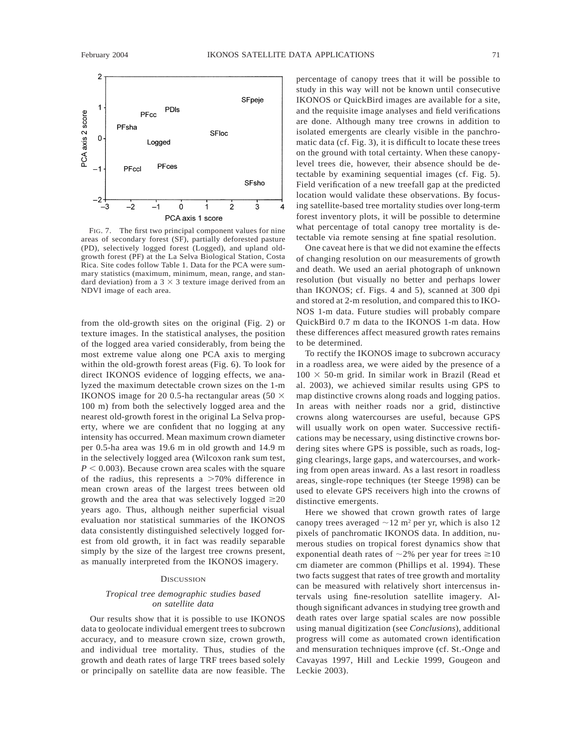

FIG. 7. The first two principal component values for nine areas of secondary forest (SF), partially deforested pasture (PD), selectively logged forest (Logged), and upland oldgrowth forest (PF) at the La Selva Biological Station, Costa Rica. Site codes follow Table 1. Data for the PCA were summary statistics (maximum, minimum, mean, range, and standard deviation) from a  $3 \times 3$  texture image derived from an NDVI image of each area.

from the old-growth sites on the original (Fig. 2) or texture images. In the statistical analyses, the position of the logged area varied considerably, from being the most extreme value along one PCA axis to merging within the old-growth forest areas (Fig. 6). To look for direct IKONOS evidence of logging effects, we analyzed the maximum detectable crown sizes on the 1-m IKONOS image for 20 0.5-ha rectangular areas (50  $\times$ 100 m) from both the selectively logged area and the nearest old-growth forest in the original La Selva property, where we are confident that no logging at any intensity has occurred. Mean maximum crown diameter per 0.5-ha area was 19.6 m in old growth and 14.9 m in the selectively logged area (Wilcoxon rank sum test,  $P < 0.003$ ). Because crown area scales with the square of the radius, this represents a  $>70\%$  difference in mean crown areas of the largest trees between old growth and the area that was selectively logged  $\geq 20$ years ago. Thus, although neither superficial visual evaluation nor statistical summaries of the IKONOS data consistently distinguished selectively logged forest from old growth, it in fact was readily separable simply by the size of the largest tree crowns present, as manually interpreted from the IKONOS imagery.

### **DISCUSSION**

### *Tropical tree demographic studies based on satellite data*

Our results show that it is possible to use IKONOS data to geolocate individual emergent trees to subcrown accuracy, and to measure crown size, crown growth, and individual tree mortality. Thus, studies of the growth and death rates of large TRF trees based solely or principally on satellite data are now feasible. The percentage of canopy trees that it will be possible to study in this way will not be known until consecutive IKONOS or QuickBird images are available for a site, and the requisite image analyses and field verifications are done. Although many tree crowns in addition to isolated emergents are clearly visible in the panchromatic data (cf. Fig. 3), it is difficult to locate these trees on the ground with total certainty. When these canopylevel trees die, however, their absence should be detectable by examining sequential images (cf. Fig. 5). Field verification of a new treefall gap at the predicted location would validate these observations. By focusing satellite-based tree mortality studies over long-term forest inventory plots, it will be possible to determine what percentage of total canopy tree mortality is detectable via remote sensing at fine spatial resolution.

One caveat here is that we did not examine the effects of changing resolution on our measurements of growth and death. We used an aerial photograph of unknown resolution (but visually no better and perhaps lower than IKONOS; cf. Figs. 4 and 5), scanned at 300 dpi and stored at 2-m resolution, and compared this to IKO-NOS 1-m data. Future studies will probably compare QuickBird 0.7 m data to the IKONOS 1-m data. How these differences affect measured growth rates remains to be determined.

To rectify the IKONOS image to subcrown accuracy in a roadless area, we were aided by the presence of a  $100 \times 50$ -m grid. In similar work in Brazil (Read et al. 2003), we achieved similar results using GPS to map distinctive crowns along roads and logging patios. In areas with neither roads nor a grid, distinctive crowns along watercourses are useful, because GPS will usually work on open water. Successive rectifications may be necessary, using distinctive crowns bordering sites where GPS is possible, such as roads, logging clearings, large gaps, and watercourses, and working from open areas inward. As a last resort in roadless areas, single-rope techniques (ter Steege 1998) can be used to elevate GPS receivers high into the crowns of distinctive emergents.

Here we showed that crown growth rates of large canopy trees averaged  $\sim$ 12 m<sup>2</sup> per yr, which is also 12 pixels of panchromatic IKONOS data. In addition, numerous studies on tropical forest dynamics show that exponential death rates of  $\sim$ 2% per year for trees  $\geq$ 10 cm diameter are common (Phillips et al. 1994). These two facts suggest that rates of tree growth and mortality can be measured with relatively short intercensus intervals using fine-resolution satellite imagery. Although significant advances in studying tree growth and death rates over large spatial scales are now possible using manual digitization (see *Conclusions*), additional progress will come as automated crown identification and mensuration techniques improve (cf. St.-Onge and Cavayas 1997, Hill and Leckie 1999, Gougeon and Leckie 2003).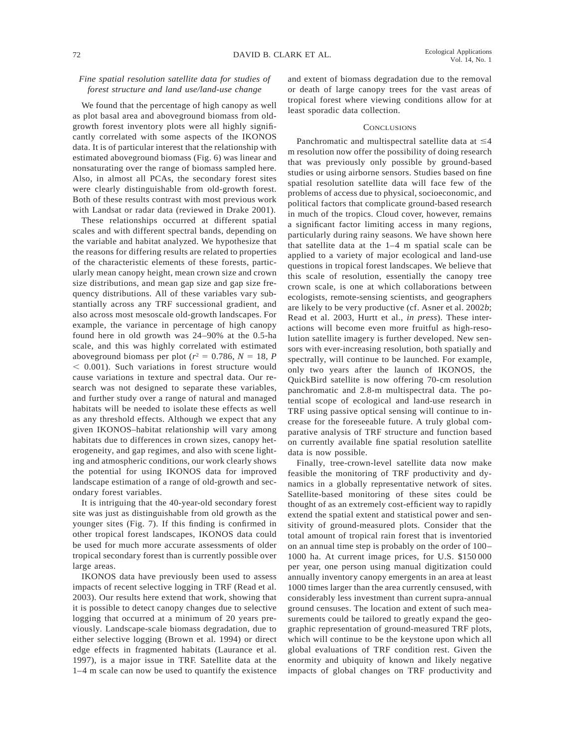## *Fine spatial resolution satellite data for studies of forest structure and land use/land-use change*

We found that the percentage of high canopy as well as plot basal area and aboveground biomass from oldgrowth forest inventory plots were all highly significantly correlated with some aspects of the IKONOS data. It is of particular interest that the relationship with estimated aboveground biomass (Fig. 6) was linear and nonsaturating over the range of biomass sampled here. Also, in almost all PCAs, the secondary forest sites were clearly distinguishable from old-growth forest. Both of these results contrast with most previous work with Landsat or radar data (reviewed in Drake 2001).

These relationships occurred at different spatial scales and with different spectral bands, depending on the variable and habitat analyzed. We hypothesize that the reasons for differing results are related to properties of the characteristic elements of these forests, particularly mean canopy height, mean crown size and crown size distributions, and mean gap size and gap size frequency distributions. All of these variables vary substantially across any TRF successional gradient, and also across most mesoscale old-growth landscapes. For example, the variance in percentage of high canopy found here in old growth was 24–90% at the 0.5-ha scale, and this was highly correlated with estimated aboveground biomass per plot ( $r^2 = 0.786$ ,  $N = 18$ , *P*  $<$  0.001). Such variations in forest structure would cause variations in texture and spectral data. Our research was not designed to separate these variables, and further study over a range of natural and managed habitats will be needed to isolate these effects as well as any threshold effects. Although we expect that any given IKONOS–habitat relationship will vary among habitats due to differences in crown sizes, canopy heterogeneity, and gap regimes, and also with scene lighting and atmospheric conditions, our work clearly shows the potential for using IKONOS data for improved landscape estimation of a range of old-growth and secondary forest variables.

It is intriguing that the 40-year-old secondary forest site was just as distinguishable from old growth as the younger sites (Fig. 7). If this finding is confirmed in other tropical forest landscapes, IKONOS data could be used for much more accurate assessments of older tropical secondary forest than is currently possible over large areas.

IKONOS data have previously been used to assess impacts of recent selective logging in TRF (Read et al. 2003). Our results here extend that work, showing that it is possible to detect canopy changes due to selective logging that occurred at a minimum of 20 years previously. Landscape-scale biomass degradation, due to either selective logging (Brown et al. 1994) or direct edge effects in fragmented habitats (Laurance et al. 1997), is a major issue in TRF. Satellite data at the 1–4 m scale can now be used to quantify the existence

and extent of biomass degradation due to the removal or death of large canopy trees for the vast areas of tropical forest where viewing conditions allow for at least sporadic data collection.

### **CONCLUSIONS**

Panchromatic and multispectral satellite data at  $\leq 4$ m resolution now offer the possibility of doing research that was previously only possible by ground-based studies or using airborne sensors. Studies based on fine spatial resolution satellite data will face few of the problems of access due to physical, socioeconomic, and political factors that complicate ground-based research in much of the tropics. Cloud cover, however, remains a significant factor limiting access in many regions, particularly during rainy seasons. We have shown here that satellite data at the 1–4 m spatial scale can be applied to a variety of major ecological and land-use questions in tropical forest landscapes. We believe that this scale of resolution, essentially the canopy tree crown scale, is one at which collaborations between ecologists, remote-sensing scientists, and geographers are likely to be very productive (cf. Asner et al. 2002*b*; Read et al. 2003, Hurtt et al., *in press*). These interactions will become even more fruitful as high-resolution satellite imagery is further developed. New sensors with ever-increasing resolution, both spatially and spectrally, will continue to be launched. For example, only two years after the launch of IKONOS, the QuickBird satellite is now offering 70-cm resolution panchromatic and 2.8-m multispectral data. The potential scope of ecological and land-use research in TRF using passive optical sensing will continue to increase for the foreseeable future. A truly global comparative analysis of TRF structure and function based on currently available fine spatial resolution satellite data is now possible.

Finally, tree-crown-level satellite data now make feasible the monitoring of TRF productivity and dynamics in a globally representative network of sites. Satellite-based monitoring of these sites could be thought of as an extremely cost-efficient way to rapidly extend the spatial extent and statistical power and sensitivity of ground-measured plots. Consider that the total amount of tropical rain forest that is inventoried on an annual time step is probably on the order of 100– 1000 ha. At current image prices, for U.S. \$150 000 per year, one person using manual digitization could annually inventory canopy emergents in an area at least 1000 times larger than the area currently censused, with considerably less investment than current supra-annual ground censuses. The location and extent of such measurements could be tailored to greatly expand the geographic representation of ground-measured TRF plots, which will continue to be the keystone upon which all global evaluations of TRF condition rest. Given the enormity and ubiquity of known and likely negative impacts of global changes on TRF productivity and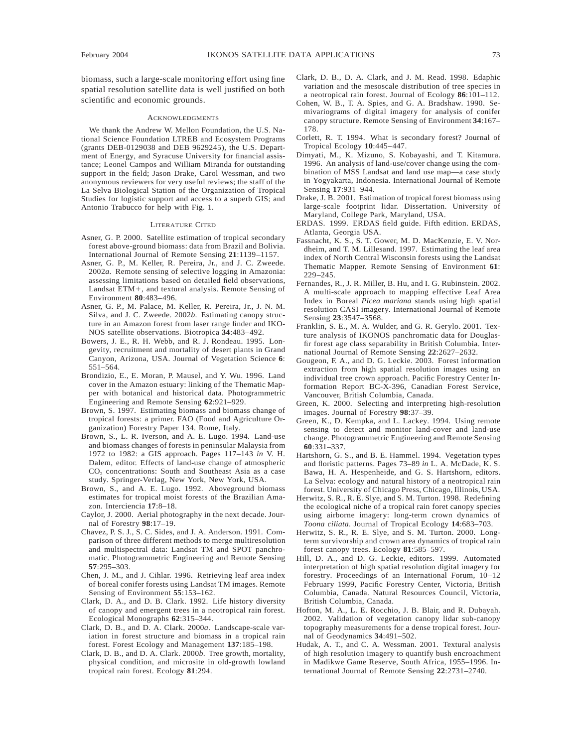biomass, such a large-scale monitoring effort using fine spatial resolution satellite data is well justified on both scientific and economic grounds.

#### **ACKNOWLEDGMENTS**

We thank the Andrew W. Mellon Foundation, the U.S. National Science Foundation LTREB and Ecosystem Programs (grants DEB-0129038 and DEB 9629245), the U.S. Department of Energy, and Syracuse University for financial assistance; Leonel Campos and William Miranda for outstanding support in the field; Jason Drake, Carol Wessman, and two anonymous reviewers for very useful reviews; the staff of the La Selva Biological Station of the Organization of Tropical Studies for logistic support and access to a superb GIS; and Antonio Trabucco for help with Fig. 1.

#### LITERATURE CITED

- Asner, G. P. 2000. Satellite estimation of tropical secondary forest above-ground biomass: data from Brazil and Bolivia. International Journal of Remote Sensing **21**:1139–1157.
- Asner, G. P., M. Keller, R. Pereira, Jr., and J. C. Zweede. 2002*a*. Remote sensing of selective logging in Amazonia: assessing limitations based on detailed field observations, Landsat ETM+, and textural analysis. Remote Sensing of Environment **80**:483–496.
- Asner, G. P., M. Palace, M. Keller, R. Pereira, Jr., J. N. M. Silva, and J. C. Zweede. 2002*b*. Estimating canopy structure in an Amazon forest from laser range finder and IKO-NOS satellite observations. Biotropica **34**:483–492.
- Bowers, J. E., R. H. Webb, and R. J. Rondeau. 1995. Longevity, recruitment and mortality of desert plants in Grand Canyon, Arizona, USA. Journal of Vegetation Science **6**: 551–564.
- Brondizio, E., E. Moran, P. Mausel, and Y. Wu. 1996. Land cover in the Amazon estuary: linking of the Thematic Mapper with botanical and historical data. Photogrammetric Engineering and Remote Sensing **62**:921–929.
- Brown, S. 1997. Estimating biomass and biomass change of tropical forests: a primer. FAO (Food and Agriculture Organization) Forestry Paper 134. Rome, Italy.
- Brown, S., L. R. Iverson, and A. E. Lugo. 1994. Land-use and biomass changes of forests in peninsular Malaysia from 1972 to 1982: a GIS approach. Pages 117–143 *in* V. H. Dalem, editor. Effects of land-use change of atmospheric CO<sub>2</sub> concentrations: South and Southeast Asia as a case study. Springer-Verlag, New York, New York, USA.
- Brown, S., and A. E. Lugo. 1992. Aboveground biomass estimates for tropical moist forests of the Brazilian Amazon. Interciencia **17**:8–18.
- Caylor, J. 2000. Aerial photography in the next decade. Journal of Forestry **98**:17–19.
- Chavez, P. S. J., S. C. Sides, and J. A. Anderson. 1991. Comparison of three different methods to merge multiresolution and multispectral data: Landsat TM and SPOT panchromatic. Photogrammetric Engineering and Remote Sensing **57**:295–303.
- Chen, J. M., and J. Cihlar. 1996. Retrieving leaf area index of boreal conifer forests using Landsat TM images. Remote Sensing of Environment **55**:153–162.
- Clark, D. A., and D. B. Clark. 1992. Life history diversity of canopy and emergent trees in a neotropical rain forest. Ecological Monographs **62**:315–344.
- Clark, D. B., and D. A. Clark. 2000*a*. Landscape-scale variation in forest structure and biomass in a tropical rain forest. Forest Ecology and Management **137**:185–198.
- Clark, D. B., and D. A. Clark. 2000*b*. Tree growth, mortality, physical condition, and microsite in old-growth lowland tropical rain forest. Ecology **81**:294.
- Clark, D. B., D. A. Clark, and J. M. Read. 1998. Edaphic variation and the mesoscale distribution of tree species in a neotropical rain forest. Journal of Ecology **86**:101–112.
- Cohen, W. B., T. A. Spies, and G. A. Bradshaw. 1990. Semivariograms of digital imagery for analysis of conifer canopy structure. Remote Sensing of Environment **34**:167– 178.
- Corlett, R. T. 1994. What is secondary forest? Journal of Tropical Ecology **10**:445–447.
- Dimyati, M., K. Mizuno, S. Kobayashi, and T. Kitamura. 1996. An analysis of land-use/cover change using the combination of MSS Landsat and land use map—a case study in Yogyakarta, Indonesia. International Journal of Remote Sensing **17**:931–944.
- Drake, J. B. 2001. Estimation of tropical forest biomass using large-scale footprint lidar. Dissertation. University of Maryland, College Park, Maryland, USA.
- ERDAS. 1999. ERDAS field guide. Fifth edition. ERDAS, Atlanta, Georgia USA.
- Fassnacht, K. S., S. T. Gower, M. D. MacKenzie, E. V. Nordheim, and T. M. Lillesand. 1997. Estimating the leaf area index of North Central Wisconsin forests using the Landsat Thematic Mapper. Remote Sensing of Environment **61**: 229–245.
- Fernandes, R., J. R. Miller, B. Hu, and I. G. Rubinstein. 2002. A multi-scale approach to mapping effective Leaf Area Index in Boreal *Picea mariana* stands using high spatial resolution CASI imagery. International Journal of Remote Sensing **23**:3547–3568.
- Franklin, S. E., M. A. Wulder, and G. R. Gerylo. 2001. Texture analysis of IKONOS panchromatic data for Douglasfir forest age class separability in British Columbia. International Journal of Remote Sensing **22**:2627–2632.
- Gougeon, F. A., and D. G. Leckie. 2003. Forest information extraction from high spatial resolution images using an individual tree crown approach. Pacific Forestry Center Information Report BC-X-396, Canadian Forest Service, Vancouver, British Columbia, Canada.
- Green, K. 2000. Selecting and interpreting high-resolution images. Journal of Forestry **98**:37–39.
- Green, K., D. Kempka, and L. Lackey. 1994. Using remote sensing to detect and monitor land-cover and land-use change. Photogrammetric Engineering and Remote Sensing **60**:331–337.
- Hartshorn, G. S., and B. E. Hammel. 1994. Vegetation types and floristic patterns. Pages 73–89 *in* L. A. McDade, K. S. Bawa, H. A. Hespenheide, and G. S. Hartshorn, editors. La Selva: ecology and natural history of a neotropical rain forest. University of Chicago Press, Chicago, Illinois, USA.
- Herwitz, S. R., R. E. Slye, and S. M. Turton. 1998. Redefining the ecological niche of a tropical rain foret canopy species using airborne imagery: long-term crown dynamics of *Toona ciliata*. Journal of Tropical Ecology **14**:683–703.
- Herwitz, S. R., R. E. Slye, and S. M. Turton. 2000. Longterm survivorship and crown area dynamics of tropical rain forest canopy trees. Ecology **81**:585–597.
- Hill, D. A., and D. G. Leckie, editors. 1999. Automated interpretation of high spatial resolution digital imagery for forestry. Proceedings of an International Forum, 10–12 February 1999, Pacific Forestry Center, Victoria, British Columbia, Canada. Natural Resources Council, Victoria, British Columbia, Canada.
- Hofton, M. A., L. E. Rocchio, J. B. Blair, and R. Dubayah. 2002. Validation of vegetation canopy lidar sub-canopy topography measurements for a dense tropical forest. Journal of Geodynamics **34**:491–502.
- Hudak, A. T., and C. A. Wessman. 2001. Textural analysis of high resolution imagery to quantify bush encroachment in Madikwe Game Reserve, South Africa, 1955–1996. International Journal of Remote Sensing **22**:2731–2740.